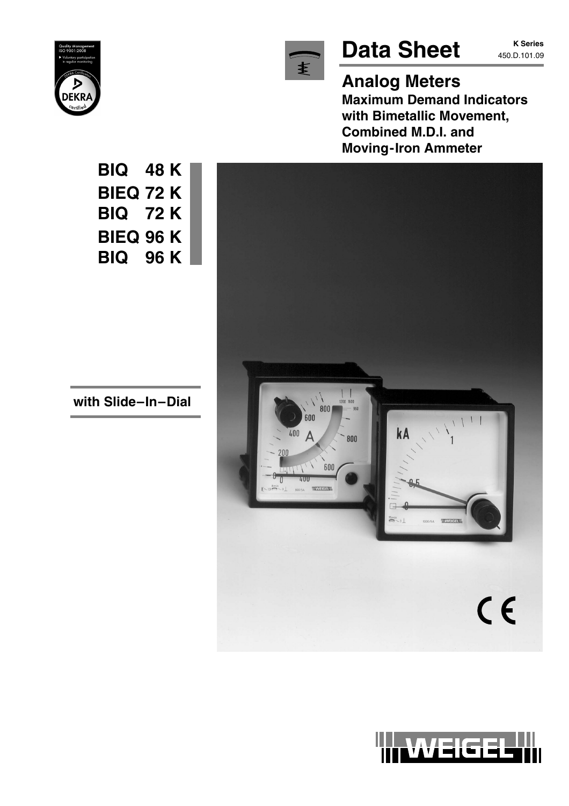



# Data Sheet **K Series**

**Analog Meters Maximum Demand Indicators with Bimetallic Movement, Combined M.D.I. and Moving-Iron Ammeter**



**BIQ 48 K BIEQ 72 K BIQ 72 K BIEQ 96 K BIQ 96 K**

**with Slide–In–Dial**

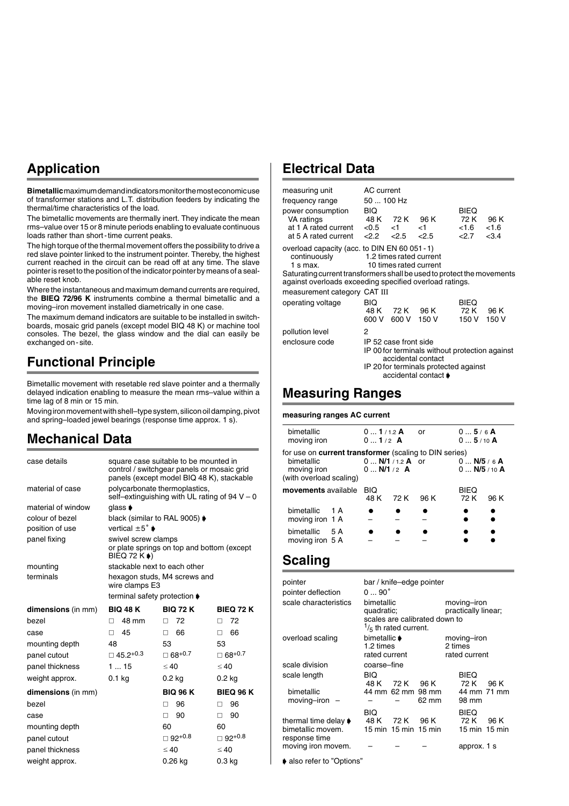## **Application**

**Bimetallic** maximum demand indicators monitor the most economic use of transformer stations and L.T. distribution feeders by indicating the thermal/time characteristics of the load.

The bimetallic movements are thermally inert. They indicate the mean rms–value over 15 or 8 minute periods enabling to evaluate continuous loads rather than short-time current peaks.

The high torque of the thermal movement offers the possibility to drive a red slave pointer linked to the instrument pointer. Thereby, the highest current reached in the circuit can be read off at any time. The slave pointer is reset to the position of the indicator pointer by means of a sealable reset knob.

Where the instantaneous and maximum demand currents are required, the **BIEQ 72/96 K** instruments combine a thermal bimetallic and a moving–iron movement installed diametrically in one case.

The maximum demand indicators are suitable to be installed in switchboards, mosaic grid panels (except model BIQ 48 K) or machine tool consoles. The bezel, the glass window and the dial can easily be exchanged on-site.

## **Functional Principle**

Bimetallic movement with resetable red slave pointer and a thermally delayed indication enabling to measure the mean rms-value within a time lag of 8 min or 15 min.

Moving iron movement with shell–type system, silicon oil damping, pivot and spring–loaded jewel bearings (response time approx. 1 s).

### **Mechanical Data**

| case details       |                                    | square case suitable to be mounted in<br>control / switchgear panels or mosaic grid<br>panels (except model BIQ 48 K), stackable |                           |
|--------------------|------------------------------------|----------------------------------------------------------------------------------------------------------------------------------|---------------------------|
| material of case   | polycarbonate thermoplastics,      | self-extinguishing with UL rating of 94 $V - 0$                                                                                  |                           |
| material of window | qlass $\bullet$                    |                                                                                                                                  |                           |
| colour of bezel    | black (similar to RAL 9005) ♦      |                                                                                                                                  |                           |
| position of use    | vertical $\pm 5^{\circ}$ $\bullet$ |                                                                                                                                  |                           |
| panel fixing       | swivel screw clamps<br>BIEQ 72 K ) | or plate springs on top and bottom (except                                                                                       |                           |
| mounting           | stackable next to each other       |                                                                                                                                  |                           |
| terminals          | wire clamps E3                     | hexagon studs, M4 screws and                                                                                                     |                           |
|                    | terminal safety protection ♦       |                                                                                                                                  |                           |
| dimensions (in mm) | <b>BIQ 48 K</b>                    | <b>BIQ 72 K</b>                                                                                                                  | <b>BIEQ 72 K</b>          |
| hezel              | 48 mm<br>п                         | 72<br>п                                                                                                                          | 72<br>п                   |
| case               | 45<br>П.                           | 66<br>□                                                                                                                          | 66<br>$\Box$              |
| mounting depth     | 48                                 | 53                                                                                                                               | 53                        |
| panel cutout       | $\Box$ 45.2 <sup>+0.3</sup>        | $\Box$ 68 <sup>+0.7</sup>                                                                                                        | $\Box$ 68 <sup>+0.7</sup> |
| panel thickness    | 115                                | $\leq 40$                                                                                                                        | $\leq 40$                 |
| weight approx.     | $0.1$ kg                           | $0.2$ kg                                                                                                                         | $0.2$ kg                  |
| dimensions (in mm) |                                    | <b>BIQ 96 K</b>                                                                                                                  | <b>BIEQ 96 K</b>          |
| hezel              |                                    | 96<br>п                                                                                                                          | 96<br>п                   |
| case               |                                    | 90<br>п                                                                                                                          | 90<br>П.                  |
| mounting depth     |                                    | 60                                                                                                                               | 60                        |
| panel cutout       |                                    | $\Box$ 92+0.8                                                                                                                    | $\Box$ 92+0.8             |
| panel thickness    |                                    | $\leq 40$                                                                                                                        | $\leq 40$                 |
| weight approx.     |                                    | $0.26$ ka                                                                                                                        | 0.3 <sub>kq</sub>         |

### **Electrical Data**

| measuring unit                                                                                                                    | AC current      |                                                   |                                                                                                                                       |                        |       |
|-----------------------------------------------------------------------------------------------------------------------------------|-----------------|---------------------------------------------------|---------------------------------------------------------------------------------------------------------------------------------------|------------------------|-------|
| frequency range                                                                                                                   | 50  100 Hz      |                                                   |                                                                                                                                       |                        |       |
| power consumption                                                                                                                 | BIQ             |                                                   |                                                                                                                                       | <b>BIEQ</b>            |       |
| VA ratings                                                                                                                        |                 | 48 K 72 K 96 K                                    |                                                                                                                                       | 72 K                   | 96 K  |
| at 1 A rated current $< 0.5$ < 1<br>at 5 A rated current                                                                          | $< 2.2 \le 2.5$ |                                                   | $<$ 1<br>2.5                                                                                                                          | $< 1.6$ $< 1.6$<br>2.7 | < 3.4 |
|                                                                                                                                   |                 |                                                   |                                                                                                                                       |                        |       |
| overload capacity (acc. to DIN EN 60 051 - 1)<br>continuously<br>$1 \text{ s max}$ .                                              |                 | 1.2 times rated current<br>10 times rated current |                                                                                                                                       |                        |       |
| Saturating current transformers shall be used to protect the movements<br>against overloads exceeding specified overload ratings. |                 |                                                   |                                                                                                                                       |                        |       |
| measurement category CAT III                                                                                                      |                 |                                                   |                                                                                                                                       |                        |       |
| operating voltage                                                                                                                 | BIQ             |                                                   |                                                                                                                                       | <b>BIEQ</b>            |       |
|                                                                                                                                   | 48 K            | 72 K 96 K                                         |                                                                                                                                       | 72 K                   | 96 K  |
|                                                                                                                                   | 600 V           | 600 V                                             | 150 V                                                                                                                                 | 150 V                  | 150 V |
| pollution level                                                                                                                   | 2               |                                                   |                                                                                                                                       |                        |       |
| enclosure code                                                                                                                    |                 | IP 52 case front side                             | IP 00 for terminals without protection against<br>accidental contact<br>IP 20 for terminals protected against<br>accidental contact ♦ |                        |       |
|                                                                                                                                   |                 |                                                   |                                                                                                                                       |                        |       |

### **Measuring Ranges**

**measuring ranges AC current**

| bimetallic<br>moving iron                                                                                             | $01/1.2$ A<br>$01/2$ A |                           | or   | 05/6A<br>$05/10$ A              |      |
|-----------------------------------------------------------------------------------------------------------------------|------------------------|---------------------------|------|---------------------------------|------|
| for use on <b>current transformer</b> (scaling to DIN series)<br>bimetallic<br>moving iron<br>(with overload scaling) | 0  N/1 /2 $\bm{A}$     | 0 $N/1$ / 1.2 <b>A</b> or |      | $0$ N/5 / 6 A<br>$0$ N/5 / 10 A |      |
| <b>movements</b> available                                                                                            | <b>BIQ</b><br>48 K     | - 72 K                    | 96 K | <b>BIEQ</b><br>72 K             | 96 K |
| bimetallic<br>$\overline{1}$ A<br>moving iron 1 A                                                                     |                        |                           |      |                                 |      |
| bimetallic<br>5 A<br>moving iron 5 A                                                                                  |                        |                           |      |                                 |      |

### **Scaling**

| pointer                                                    |                                                                |                                   | bar / knife-edge pointer      |                                         |      |
|------------------------------------------------------------|----------------------------------------------------------------|-----------------------------------|-------------------------------|-----------------------------------------|------|
| pointer deflection                                         | $090^\circ$                                                    |                                   |                               |                                         |      |
| scale characteristics                                      | bimetallic<br>quadratic;                                       | $\frac{1}{5}$ th rated current.   | scales are calibrated down to | moving-iron<br>practically linear;      |      |
| overload scaling                                           | bimetallic $\blacktriangleright$<br>1.2 times<br>rated current |                                   |                               | moving-iron<br>2 times<br>rated current |      |
| scale division                                             | coarse-fine                                                    |                                   |                               |                                         |      |
| scale length                                               | BIQ<br>48 K                                                    | 72 K                              | – 96 K                        | <b>BIEQ</b><br>72 K                     | 96 K |
| bimetallic<br>$moving$ -iron $-$                           |                                                                | 44 mm 62 mm 98 mm                 | 62 mm                         | 44 mm 71 mm<br>98 mm                    |      |
| thermal time delay ♦<br>bimetallic movem.<br>response time | BIQ<br>48 K                                                    | 72 K 96 K<br>15 min 15 min 15 min |                               | BIEQ<br>72 K<br>15 min 15 min           | 96 K |
| moving iron movem.                                         |                                                                |                                   |                               | approx. 1 s                             |      |
| .                                                          |                                                                |                                   |                               |                                         |      |

• also refer to "Options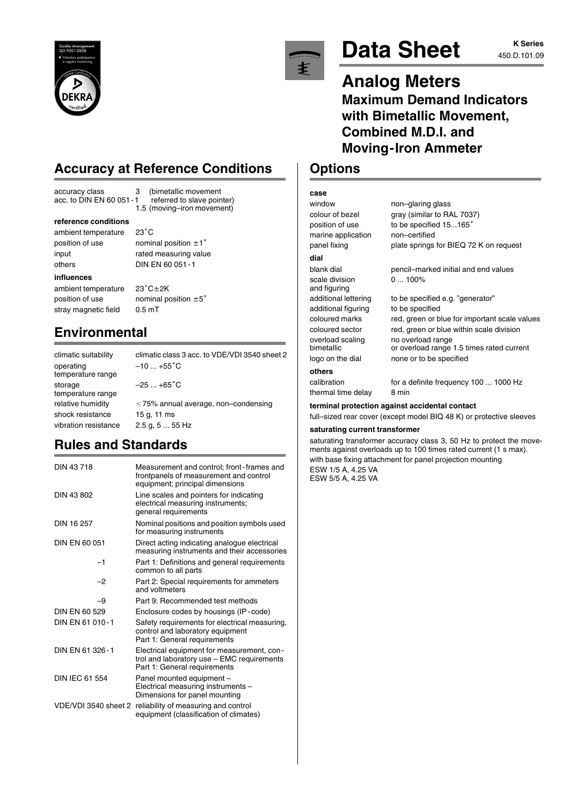

## **Accuracy at Reference Conditions**

 $23^{\circ}$ C

 $23^\circ C+2K$ 

1.5 (moving–iron movement)

accuracy class 3 (bimetallic movement<br>acc. to DIN EN 60 051-1 referred to slave pointer) acc. to  $\overline{D}$ IN EN 60 051 - 1

#### **reference conditions**

ambient temperature position of use nominal position  $\pm 1^{\circ}$ input rated measuring value others DIN EN 60 051-1

#### **influences**

ambient temperature position of use nominal position  $\pm 5^{\circ}$ stray magnetic field 0.5 mT

### **Environmental**

climatic suitability climatic class 3 acc. to VDE/VDI 3540 sheet 2 operating  $-10...+55^\circ$  $-10$  ...  $+55^{\circ}$ C temperature range storage  $-25...+65$ °C temperature range relative humidity  $\leq 75\%$  annual average, non–condensing shock resistance 15 g, 11 ms vibration resistance 2.5 g, 5 ... 55 Hz

## **Rules and Standards**

| DIN 43718             | Measurement and control; front-frames and<br>frontpanels of measurement and control<br>equipment; principal dimensions   |
|-----------------------|--------------------------------------------------------------------------------------------------------------------------|
| DIN 43 802            | Line scales and pointers for indicating<br>electrical measuring instruments;<br>general requirements                     |
| DIN 16 257            | Nominal positions and position symbols used<br>for measuring instruments                                                 |
| DIN EN 60 051         | Direct acting indicating analogue electrical<br>measuring instruments and their accessories                              |
| $-1$                  | Part 1: Definitions and general requirements<br>common to all parts                                                      |
| $-2$                  | Part 2: Special requirements for ammeters<br>and voltmeters                                                              |
| -9                    | Part 9: Recommended test methods                                                                                         |
| DIN FN 60.529         | Enclosure codes by housings (IP-code)                                                                                    |
| DIN EN 61 010-1       | Safety requirements for electrical measuring,<br>control and laboratory equipment<br>Part 1: General requirements        |
| DIN EN 61 326-1       | Electrical equipment for measurement, con-<br>trol and laboratory use - EMC requirements<br>Part 1: General requirements |
| <b>DIN IEC 61 554</b> | Panel mounted equipment -<br>Electrical measuring instruments -<br>Dimensions for panel mounting                         |
| VDE/VDI 3540 sheet 2  | reliability of measuring and control<br>equipment (classification of climates)                                           |



# Data Sheet **K Series**

# **K Series**

## **Analog Meters Maximum Demand Indicators with Bimetallic Movement, Combined M.D.I. and Moving-Iron Ammeter**

### **Options**

| case          |
|---------------|
| window        |
| colour of bez |

marine application non–certified

#### **dial**

**others**

scale division 0 ... 100% and figuring additional figuring to be specified

window non–glaring glass colour of bezel gray (similar to RAL 7037) position of use to be specified 15...165° panel fixing plate springs for BIEQ 72 K on request

# blank dial pencil–marked initial and end values

additional lettering to be specified e.g. "generator" coloured marks red, green or blue for important scale values coloured sector red, green or blue within scale division overload scaling no overload range bimetallic or overload range 1.5 times rated current logo on the dial none or to be specified

calibration for a definite frequency 100 ... 1000 Hz thermal time delay 8 min

### **terminal protection against accidental contact**

full–sized rear cover (except model BIQ 48 K) or protective sleeves

### **saturating current transformer**

saturating transformer accuracy class 3, 50 Hz to protect the movements against overloads up to 100 times rated current (1 s max). with base fixing attachment for panel projection mounting

ESW 1/5 A, 4.25 VA ESW 5/5 A, 4.25 VA